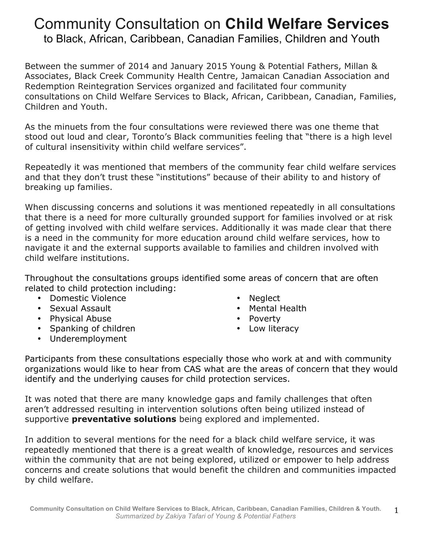## Community Consultation on **Child Welfare Services** to Black, African, Caribbean, Canadian Families, Children and Youth

Between the summer of 2014 and January 2015 Young & Potential Fathers, Millan & Associates, Black Creek Community Health Centre, Jamaican Canadian Association and Redemption Reintegration Services organized and facilitated four community consultations on Child Welfare Services to Black, African, Caribbean, Canadian, Families, Children and Youth.

As the minuets from the four consultations were reviewed there was one theme that stood out loud and clear, Toronto's Black communities feeling that "there is a high level of cultural insensitivity within child welfare services".

Repeatedly it was mentioned that members of the community fear child welfare services and that they don't trust these "institutions" because of their ability to and history of breaking up families.

When discussing concerns and solutions it was mentioned repeatedly in all consultations that there is a need for more culturally grounded support for families involved or at risk of getting involved with child welfare services. Additionally it was made clear that there is a need in the community for more education around child welfare services, how to navigate it and the external supports available to families and children involved with child welfare institutions.

Throughout the consultations groups identified some areas of concern that are often related to child protection including:

- Domestic Violence
- Sexual Assault
- Physical Abuse
- Spanking of children
- Underemployment
- **Neglect**
- Mental Health
- Poverty
- Low literacy

Participants from these consultations especially those who work at and with community organizations would like to hear from CAS what are the areas of concern that they would identify and the underlying causes for child protection services.

It was noted that there are many knowledge gaps and family challenges that often aren't addressed resulting in intervention solutions often being utilized instead of supportive **preventative solutions** being explored and implemented.

In addition to several mentions for the need for a black child welfare service, it was repeatedly mentioned that there is a great wealth of knowledge, resources and services within the community that are not being explored, utilized or empower to help address concerns and create solutions that would benefit the children and communities impacted by child welfare.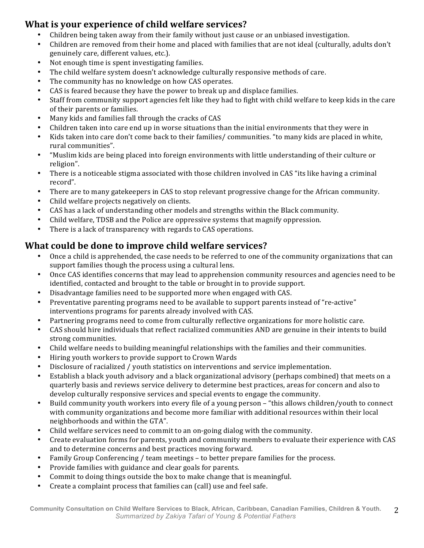## **What is vour experience of child welfare services?**

- Children being taken away from their family without just cause or an unbiased investigation.
- Children are removed from their home and placed with families that are not ideal (culturally, adults don't genuinely care, different values, etc.).
- Not enough time is spent investigating families.
- The child welfare system doesn't acknowledge culturally responsive methods of care.
- The community has no knowledge on how CAS operates.
- CAS is feared because they have the power to break up and displace families.
- Staff from community support agencies felt like they had to fight with child welfare to keep kids in the care of their parents or families.
- Many kids and families fall through the cracks of CAS
- Children taken into care end up in worse situations than the initial environments that they were in
- Kids taken into care don't come back to their families/ communities. "to many kids are placed in white, rural communities".
- "Muslim kids are being placed into foreign environments with little understanding of their culture or religion".
- There is a noticeable stigma associated with those children involved in CAS "its like having a criminal record".
- There are to many gatekeepers in CAS to stop relevant progressive change for the African community.
- Child welfare projects negatively on clients.
- CAS has a lack of understanding other models and strengths within the Black community.
- Child welfare, TDSB and the Police are oppressive systems that magnify oppression.
- There is a lack of transparency with regards to CAS operations.

## **What could be done to improve child welfare services?**

- Once a child is apprehended, the case needs to be referred to one of the community organizations that can support families though the process using a cultural lens.
- Once CAS identifies concerns that may lead to apprehension community resources and agencies need to be identified, contacted and brought to the table or brought in to provide support.
- Disadvantage families need to be supported more when engaged with CAS.
- Preventative parenting programs need to be available to support parents instead of "re-active" interventions programs for parents already involved with CAS.
- Partnering programs need to come from culturally reflective organizations for more holistic care.
- CAS should hire individuals that reflect racialized communities AND are genuine in their intents to build strong communities.
- Child welfare needs to building meaningful relationships with the families and their communities.
- Hiring youth workers to provide support to Crown Wards
- Disclosure of racialized / youth statistics on interventions and service implementation.
- Establish a black youth advisory and a black organizational advisory (perhaps combined) that meets on a quarterly basis and reviews service delivery to determine best practices, areas for concern and also to develop culturally responsive services and special events to engage the community.
- Build community youth workers into every file of a young person "this allows children/youth to connect with community organizations and become more familiar with additional resources within their local neighborhoods and within the GTA".
- Child welfare services need to commit to an on-going dialog with the community.
- Create evaluation forms for parents, youth and community members to evaluate their experience with CAS and to determine concerns and best practices moving forward.
- Family Group Conferencing / team meetings to better prepare families for the process.
- Provide families with guidance and clear goals for parents.
- Commit to doing things outside the box to make change that is meaningful.
- Create a complaint process that families can (call) use and feel safe.